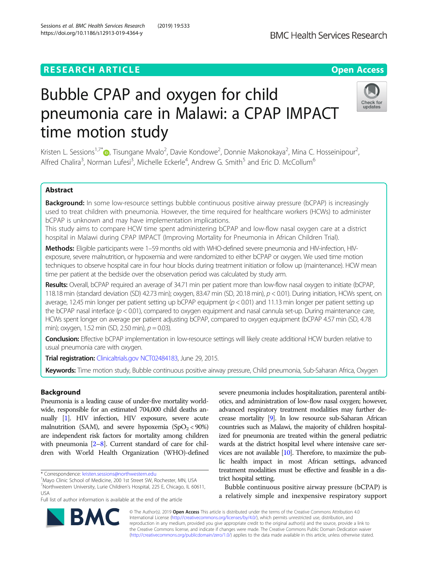# **RESEARCH ARTICLE Example 2018 12:30 THE Open Access**

time motion study

# Bubble CPAP and oxygen for child pneumonia care in Malawi: a CPAP IMPACT



Kristen L. Sessions<sup>1,7\*</sup>®, Tisungane Mvalo<sup>2</sup>, Davie Kondowe<sup>2</sup>, Donnie Makonokaya<sup>2</sup>, Mina C. Hosseinipour<sup>2</sup> , Alfred Chalira<sup>3</sup>, Norman Lufesi<sup>3</sup>, Michelle Eckerle<sup>4</sup>, Andrew G. Smith<sup>5</sup> and Eric D. McCollum<sup>6</sup>

# Abstract

Background: In some low-resource settings bubble continuous positive airway pressure (bCPAP) is increasingly used to treat children with pneumonia. However, the time required for healthcare workers (HCWs) to administer bCPAP is unknown and may have implementation implications.

This study aims to compare HCW time spent administering bCPAP and low-flow nasal oxygen care at a district hospital in Malawi during CPAP IMPACT (Improving Mortality for Pneumonia in African Children Trial).

Methods: Eligible participants were 1–59 months old with WHO-defined severe pneumonia and HIV-infection, HIVexposure, severe malnutrition, or hypoxemia and were randomized to either bCPAP or oxygen. We used time motion techniques to observe hospital care in four hour blocks during treatment initiation or follow up (maintenance). HCW mean time per patient at the bedside over the observation period was calculated by study arm.

Results: Overall, bCPAP required an average of 34.71 min per patient more than low-flow nasal oxygen to initiate (bCPAP, 118.18 min (standard deviation (SD) 42.73 min); oxygen, 83.47 min (SD, 20.18 min), p < 0.01). During initiation, HCWs spent, on average, 12.45 min longer per patient setting up bCPAP equipment  $(p < 0.01)$  and 11.13 min longer per patient setting up the bCPAP nasal interface (p < 0.01), compared to oxygen equipment and nasal cannula set-up. During maintenance care, HCWs spent longer on average per patient adjusting bCPAP, compared to oxygen equipment (bCPAP 4.57 min (SD, 4.78 min); oxygen, 1.52 min (SD, 2.50 min),  $p = 0.03$ ).

**Conclusion:** Effective bCPAP implementation in low-resource settings will likely create additional HCW burden relative to usual pneumonia care with oxygen.

Trial registration: [Clinicaltrials.gov](http://clinicaltrials.gov) [NCT02484183](https://clinicaltrials.gov/ct2/show/NCT02484183?cond=bubble+cpap&draw=2&rank=12), June 29, 2015.

Keywords: Time motion study, Bubble continuous positive airway pressure, Child pneumonia, Sub-Saharan Africa, Oxygen

# Background

Pneumonia is a leading cause of under-five mortality worldwide, responsible for an estimated 704,000 child deaths annually [[1](#page-6-0)]. HIV infection, HIV exposure, severe acute malnutrition (SAM), and severe hypoxemia (SpO<sub>2</sub> < 90%) are independent risk factors for mortality among children with pneumonia [\[2](#page-6-0)–[8](#page-6-0)]. Current standard of care for children with World Health Organization (WHO)-defined

severe pneumonia includes hospitalization, parenteral antibiotics, and administration of low-flow nasal oxygen; however, advanced respiratory treatment modalities may further decrease mortality [\[9\]](#page-6-0). In low resource sub-Saharan African countries such as Malawi, the majority of children hospitalized for pneumonia are treated within the general pediatric wards at the district hospital level where intensive care services are not available [[10\]](#page-6-0). Therefore, to maximize the public health impact in most African settings, advanced treatment modalities must be effective and feasible in a district hospital setting.

Bubble continuous positive airway pressure (bCPAP) is a relatively simple and inexpensive respiratory support



<sup>\*</sup> Correspondence: [kristen.sessions@northwestern.edu](mailto:kristen.sessions@northwestern.edu) <sup>1</sup>

<sup>&</sup>lt;sup>1</sup>Mayo Clinic School of Medicine, 200 1st Street SW, Rochester, MN, USA 7 Northwestern University, Lurie Children's Hospital, 225 E, Chicago, IL 60611, USA

Full list of author information is available at the end of the article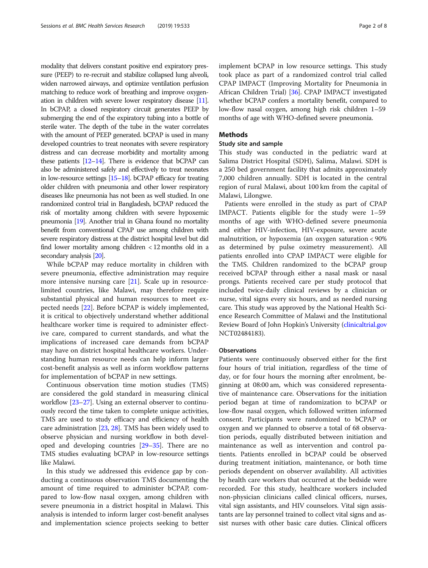modality that delivers constant positive end expiratory pressure (PEEP) to re-recruit and stabilize collapsed lung alveoli, widen narrowed airways, and optimize ventilation perfusion matching to reduce work of breathing and improve oxygenation in children with severe lower respiratory disease [\[11\]](#page-6-0). In bCPAP, a closed respiratory circuit generates PEEP by submerging the end of the expiratory tubing into a bottle of sterile water. The depth of the tube in the water correlates with the amount of PEEP generated. bCPAP is used in many developed countries to treat neonates with severe respiratory distress and can decrease morbidity and mortality among these patients [\[12](#page-6-0)–[14\]](#page-6-0). There is evidence that bCPAP can also be administered safely and effectively to treat neonates in low-resource settings [\[15](#page-6-0)–[18](#page-6-0)]. bCPAP efficacy for treating older children with pneumonia and other lower respiratory diseases like pneumonia has not been as well studied. In one randomized control trial in Bangladesh, bCPAP reduced the risk of mortality among children with severe hypoxemic pneumonia [\[19\]](#page-6-0). Another trial in Ghana found no mortality benefit from conventional CPAP use among children with severe respiratory distress at the district hospital level but did find lower mortality among children < 12 months old in a secondary analysis [\[20](#page-6-0)].

While bCPAP may reduce mortality in children with severe pneumonia, effective administration may require more intensive nursing care [\[21](#page-7-0)]. Scale up in resourcelimited countries, like Malawi, may therefore require substantial physical and human resources to meet expected needs [\[22](#page-7-0)]. Before bCPAP is widely implemented, it is critical to objectively understand whether additional healthcare worker time is required to administer effective care, compared to current standards, and what the implications of increased care demands from bCPAP may have on district hospital healthcare workers. Understanding human resource needs can help inform larger cost-benefit analysis as well as inform workflow patterns for implementation of bCPAP in new settings.

Continuous observation time motion studies (TMS) are considered the gold standard in measuring clinical workflow [\[23](#page-7-0)–[27](#page-7-0)]. Using an external observer to continuously record the time taken to complete unique activities, TMS are used to study efficacy and efficiency of health care administration [\[23,](#page-7-0) [28](#page-7-0)]. TMS has been widely used to observe physician and nursing workflow in both developed and developing countries [\[29](#page-7-0)–[35](#page-7-0)]. There are no TMS studies evaluating bCPAP in low-resource settings like Malawi.

In this study we addressed this evidence gap by conducting a continuous observation TMS documenting the amount of time required to administer bCPAP, compared to low-flow nasal oxygen, among children with severe pneumonia in a district hospital in Malawi. This analysis is intended to inform larger cost-benefit analyses and implementation science projects seeking to better implement bCPAP in low resource settings. This study took place as part of a randomized control trial called CPAP IMPACT (Improving Mortality for Pneumonia in African Children Trial) [\[36\]](#page-7-0). CPAP IMPACT investigated whether bCPAP confers a mortality benefit, compared to low-flow nasal oxygen, among high risk children 1–59 months of age with WHO-defined severe pneumonia.

# Methods

# Study site and sample

This study was conducted in the pediatric ward at Salima District Hospital (SDH), Salima, Malawi. SDH is a 250 bed government facility that admits approximately 7,000 children annually. SDH is located in the central region of rural Malawi, about 100 km from the capital of Malawi, Lilongwe.

Patients were enrolled in the study as part of CPAP IMPACT. Patients eligible for the study were 1–59 months of age with WHO-defined severe pneumonia and either HIV-infection, HIV-exposure, severe acute malnutrition, or hypoxemia (an oxygen saturation < 90% as determined by pulse oximetry measurement). All patients enrolled into CPAP IMPACT were eligible for the TMS. Children randomized to the bCPAP group received bCPAP through either a nasal mask or nasal prongs. Patients received care per study protocol that included twice-daily clinical reviews by a clinician or nurse, vital signs every six hours, and as needed nursing care. This study was approved by the National Health Science Research Committee of Malawi and the Institutional Review Board of John Hopkin's University [\(clinicaltrial.gov](http://clinicaltrial.gov) NCT02484183).

# **Observations**

Patients were continuously observed either for the first four hours of trial initiation, regardless of the time of day, or for four hours the morning after enrolment, beginning at 08:00 am, which was considered representative of maintenance care. Observations for the initiation period began at time of randomization to bCPAP or low-flow nasal oxygen, which followed written informed consent. Participants were randomized to bCPAP or oxygen and we planned to observe a total of 68 observation periods, equally distributed between initiation and maintenance as well as intervention and control patients. Patients enrolled in bCPAP could be observed during treatment initiation, maintenance, or both time periods dependent on observer availability. All activities by health care workers that occurred at the bedside were recorded. For this study, healthcare workers included non-physician clinicians called clinical officers, nurses, vital sign assistants, and HIV counselors. Vital sign assistants are lay personnel trained to collect vital signs and assist nurses with other basic care duties. Clinical officers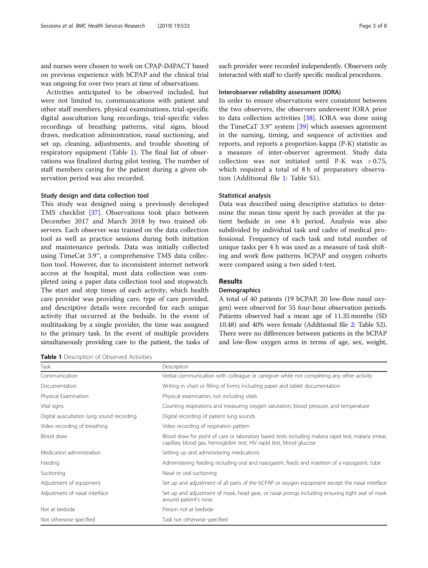and nurses were chosen to work on CPAP-IMPACT based on previous experience with bCPAP and the clinical trial was ongoing for over two years at time of observations.

Activities anticipated to be observed included, but were not limited to, communications with patient and other staff members, physical examinations, trial-specific digital auscultation lung recordings, trial-specific video recordings of breathing patterns, vital signs, blood draws, medication administration, nasal suctioning, and set up, cleaning, adjustments, and trouble shooting of respiratory equipment (Table 1). The final list of observations was finalized during pilot testing. The number of staff members caring for the patient during a given observation period was also recorded.

# Study design and data collection tool

This study was designed using a previously developed TMS checklist [[37\]](#page-7-0). Observations took place between December 2017 and March 2018 by two trained observers. Each observer was trained on the data collection tool as well as practice sessions during both initiation and maintenance periods. Data was initially collected using TimeCat 3.9™, a comprehensive TMS data collection tool. However, due to inconsistent internet network access at the hospital, most data collection was completed using a paper data collection tool and stopwatch. The start and stop times of each activity, which health care provider was providing care, type of care provided, and descriptive details were recorded for each unique activity that occurred at the bedside. In the event of multitasking by a single provider, the time was assigned to the primary task. In the event of multiple providers simultaneously providing care to the patient, the tasks of

**Table 1** Description of Observed Activities

each provider were recorded independently. Observers only interacted with staff to clarify specific medical procedures.

# Interobserver reliability assessment (IORA)

In order to ensure observations were consistent between the two observers, the observers underwent IORA prior to data collection activities [\[38](#page-7-0)]. IORA was done using the TimeCaT 3.9<sup>™</sup> system [\[39](#page-7-0)] which assesses agreement in the naming, timing, and sequence of activities and reports, and reports a proportion-kappa (P-K) statistic as a measure of inter-observer agreement. Study data collection was not initiated until P-K was  $> 0.75$ , which required a total of 8 h of preparatory observation (Additional file [1](#page-5-0): Table S1).

# Statistical analysis

Data was described using descriptive statistics to determine the mean time spent by each provider at the patient bedside in one 4 h period. Analysis was also subdivided by individual task and cadre of medical professional. Frequency of each task and total number of unique tasks per 4 h was used as a measure of task shifting and work flow patterns. bCPAP and oxygen cohorts were compared using a two sided t-test.

# Results

# Demographics

A total of 40 patients (19 bCPAP, 20 low-flow nasal oxygen) were observed for 55 four-hour observation periods. Patients observed had a mean age of 11.35 months (SD 10.48) and 40% were female (Additional file [2:](#page-5-0) Table S2). There were no differences between patients in the bCPAP and low-flow oxygen arms in terms of age, sex, weight,

| Task                                      | Description                                                                                                                                                                |
|-------------------------------------------|----------------------------------------------------------------------------------------------------------------------------------------------------------------------------|
| Communication                             | Verbal communication with colleague or caregiver while not completing any other activity                                                                                   |
| Documentation                             | Writing in chart or filling of forms including paper and tablet documentation                                                                                              |
| Physical Examination                      | Physical examination, not including vitals                                                                                                                                 |
| Vital signs                               | Counting respirations and measuring oxygen saturation, blood pressure, and temperature                                                                                     |
| Digital auscultation lung sound recording | Digital recording of patient lung sounds                                                                                                                                   |
| Video recording of breathing              | Video recording of respiration pattern                                                                                                                                     |
| Blood draw                                | Blood draw for point of care or laboratory based tests including malaria rapid test, malaria smear,<br>capillary blood gas, hemoglobin test, HIV rapid test, blood glucose |
| Medication administration                 | Setting up and administering medications                                                                                                                                   |
| Feeding                                   | Administering feeding including oral and nasogastric feeds and insertion of a nasogastric tube                                                                             |
| Suctioning                                | Nasal or oral suctioning                                                                                                                                                   |
| Adjustment of equipment                   | Set up and adjustment of all parts of the bCPAP or oxygen equipment except the nasal interface                                                                             |
| Adjustment of nasal interface             | Set up and adjustment of mask, head gear, or nasal prongs including ensuring tight seal of mask<br>around patient's nose                                                   |
| Not at bedside                            | Person not at bedside                                                                                                                                                      |
| Not otherwise specified                   | Task not otherwise specified                                                                                                                                               |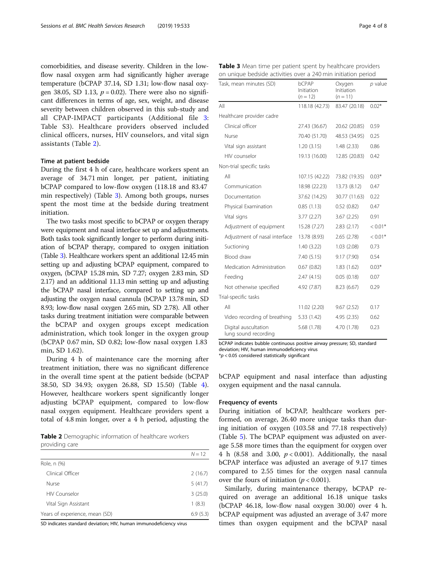comorbidities, and disease severity. Children in the lowflow nasal oxygen arm had significantly higher average temperature (bCPAP 37.14, SD 1.31; low-flow nasal oxygen 38.05, SD 1.13,  $p = 0.02$ ). There were also no significant differences in terms of age, sex, weight, and disease severity between children observed in this sub-study and all CPAP-IMPACT participants (Additional file [3](#page-6-0): Table S3). Healthcare providers observed included clinical officers, nurses, HIV counselors, and vital sign assistants (Table 2).

# Time at patient bedside

During the first 4 h of care, healthcare workers spent an average of 34.71 min longer, per patient, initiating bCPAP compared to low-flow oxygen (118.18 and 83.47 min respectively) (Table 3). Among both groups, nurses spent the most time at the bedside during treatment initiation.

The two tasks most specific to bCPAP or oxygen therapy were equipment and nasal interface set up and adjustments. Both tasks took significantly longer to perform during initiation of bCPAP therapy, compared to oxygen initiation (Table 3). Healthcare workers spent an additional 12.45 min setting up and adjusting bCPAP equipment, compared to oxygen, (bCPAP 15.28 min, SD 7.27; oxygen 2.83 min, SD 2.17) and an additional 11.13 min setting up and adjusting the bCPAP nasal interface, compared to setting up and adjusting the oxygen nasal cannula (bCPAP 13.78 min, SD 8.93; low-flow nasal oxygen 2.65 min, SD 2.78). All other tasks during treatment initiation were comparable between the bCPAP and oxygen groups except medication administration, which took longer in the oxygen group (bCPAP 0.67 min, SD 0.82; low-flow nasal oxygen 1.83 min, SD 1.62).

During 4 h of maintenance care the morning after treatment initiation, there was no significant difference in the overall time spent at the patient bedside (bCPAP 38.50, SD 34.93; oxygen 26.88, SD 15.50) (Table [4](#page-4-0)). However, healthcare workers spent significantly longer adjusting bCPAP equipment, compared to low-flow nasal oxygen equipment. Healthcare providers spent a total of 4.8 min longer, over a 4 h period, adjusting the

**Table 2** Demographic information of healthcare workers providing care

|                                | $N = 12$ |
|--------------------------------|----------|
| Role, n (%)                    |          |
| Clinical Officer               | 2(16.7)  |
| Nurse                          | 5(41.7)  |
| <b>HIV Counselor</b>           | 3(25.0)  |
| Vital Sign Assistant           | 1(8.3)   |
| Years of experience, mean (SD) | 6.9(5.3) |

SD indicates standard deviation; HIV, human immunodeficiency virus

|  |  |  |  |  | <b>Table 3</b> Mean time per patient spent by healthcare providers |  |  |
|--|--|--|--|--|--------------------------------------------------------------------|--|--|
|  |  |  |  |  | on unique bedside activities over a 240 min initiation period      |  |  |

| Task, mean minutes (SD)                      | bCPAP<br>Initiation<br>$(n = 12)$ | Oxygen<br>Initiation<br>$(n = 11)$ | $p$ value |
|----------------------------------------------|-----------------------------------|------------------------------------|-----------|
| All                                          | 118.18 (42.73)                    | 83.47 (20.18)                      | $0.02*$   |
| Healthcare provider cadre                    |                                   |                                    |           |
| Clinical officer                             | 27.43 (36.67)                     | 20.62 (20.85)                      | 0.59      |
| Nurse                                        | 70.40 (51.70)                     | 48.53 (34.95)                      | 0.25      |
| Vital sign assistant                         | 1.20(3.15)                        | 1.48(2.33)                         | 0.86      |
| HIV counselor                                | 19.13 (16.00)                     | 12.85 (20.83)                      | 0.42      |
| Non-trial specific tasks                     |                                   |                                    |           |
| All                                          | 107.15 (42.22)                    | 73.82 (19.35)                      | $0.03*$   |
| Communication                                | 18.98 (22.23)                     | 13.73 (8.12)                       | 0.47      |
| Documentation                                | 37.62 (14.25)                     | 30.77 (11.63)                      | 0.22      |
| Physical Examination                         | 0.85(1.13)                        | 0.52(0.82)                         | 0.47      |
| Vital signs                                  | 3.77(2.27)                        | 3.67(2.25)                         | 0.91      |
| Adjustment of equipment                      | 15.28 (7.27)                      | 2.83(2.17)                         | $< 0.01*$ |
| Adjustment of nasal interface                | 13.78 (8.93)                      | 2.65(2.78)                         | $< 0.01*$ |
| Suctioning                                   | 1.40(3.22)                        | 1.03(2.08)                         | 0.73      |
| Blood draw                                   | 7.40(5.15)                        | 9.17 (7.90)                        | 0.54      |
| Medication Administration                    | 0.67(0.82)                        | 1.83(1.62)                         | $0.03*$   |
| Feeding                                      | 2.47(4.15)                        | 0.05(0.18)                         | 0.07      |
| Not otherwise specified                      | 4.92 (7.87)                       | 8.23(6.67)                         | 0.29      |
| Trial-specific tasks                         |                                   |                                    |           |
| All                                          | 11.02 (2.20)                      | 9.67(2.52)                         | 0.17      |
| Video recording of breathing                 | 5.33(1.42)                        | 4.95(2.35)                         | 0.62      |
| Digital auscultation<br>lung sound recording | 5.68 (1.78)                       | 4.70 (1.78)                        | 0.23      |

bCPAP indicates bubble continuous positive airway pressure; SD, standard deviation; HIV, human immunodeficiency virus  $*p$  < 0.05 considered statistically significant

bCPAP equipment and nasal interface than adjusting

oxygen equipment and the nasal cannula.

### Frequency of events

During initiation of bCPAP, healthcare workers performed, on average, 26.40 more unique tasks than during initiation of oxygen (103.58 and 77.18 respectively) (Table [5\)](#page-5-0). The bCPAP equipment was adjusted on average 5.58 more times than the equipment for oxygen over 4 h (8.58 and 3.00,  $p < 0.001$ ). Additionally, the nasal bCPAP interface was adjusted an average of 9.17 times compared to 2.55 times for the oxygen nasal cannula over the fours of initiation ( $p < 0.001$ ).

Similarly, during maintenance therapy, bCPAP required on average an additional 16.18 unique tasks (bCPAP 46.18, low-flow nasal oxygen 30.00) over 4 h. bCPAP equipment was adjusted an average of 3.47 more times than oxygen equipment and the bCPAP nasal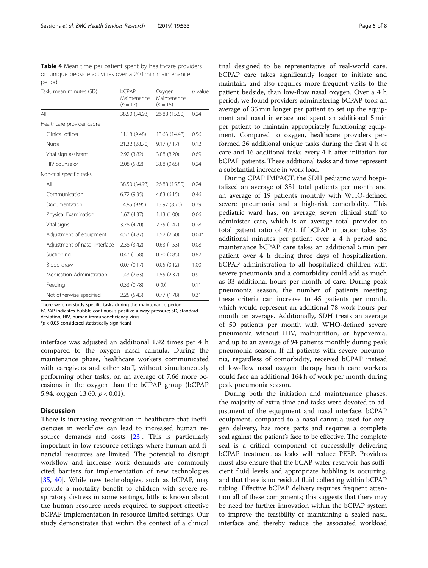<span id="page-4-0"></span>Table 4 Mean time per patient spent by healthcare providers on unique bedside activities over a 240 min maintenance period

| Task, mean minutes (SD)       | bCPAP<br>Maintenance<br>$(n = 17)$ | Oxygen<br>Maintenance<br>$(n = 15)$ | p value |
|-------------------------------|------------------------------------|-------------------------------------|---------|
| All                           | 38.50 (34.93)                      | 26.88 (15.50)                       | 0.24    |
| Healthcare provider cadre     |                                    |                                     |         |
| Clinical officer              | 11.18 (9.48)                       | 13.63 (14.48)                       | 0.56    |
| Nurse                         | 21.32 (28.70)                      | 9.17(7.17)                          | 0.12    |
| Vital sign assistant          | 2.92(3.82)                         | 3.88 (8.20)                         | 0.69    |
| HIV counselor                 | 2.08(5.82)                         | 3.88(0.65)                          | 0.24    |
| Non-trial specific tasks      |                                    |                                     |         |
| All                           | 38.50 (34.93)                      | 26.88 (15.50)                       | 0.24    |
| Communication                 | 6.72(9.35)                         | 4.63(6.15)                          | 0.46    |
| Documentation                 | 14.85 (9.95)                       | 13.97 (8.70)                        | 0.79    |
| Physical Examination          | 1.67(4.37)                         | 1.13(1.00)                          | 0.66    |
| Vital signs                   | 3.78(4.70)                         | 2.35(1.47)                          | 0.28    |
| Adjustment of equipment       | 4.57 (4.87)                        | 1.52(2.50)                          | $0.04*$ |
| Adjustment of nasal interface | 2.38(3.42)                         | 0.63(1.53)                          | 0.08    |
| Suctioning                    | 0.47(1.58)                         | 0.30(0.85)                          | 0.82    |
| <b>Blood draw</b>             | 0.07(0.17)                         | 0.05(0.12)                          | 1.00    |
| Medication Administration     | 1.43(2.63)                         | 1.55(2.32)                          | 0.91    |
| Feeding                       | 0.33(0.78)                         | 0(0)                                | 0.11    |
| Not otherwise specified       | 2.25(5.43)                         | 0.77(1.78)                          | 0.31    |

There were no study specific tasks during the maintenance period

bCPAP indicates bubble continuous positive airway pressure; SD, standard deviation; HIV, human immunodeficiency virus

 $*p$  < 0.05 considered statistically significant

interface was adjusted an additional 1.92 times per 4 h compared to the oxygen nasal cannula. During the maintenance phase, healthcare workers communicated with caregivers and other staff, without simultaneously performing other tasks, on an average of 7.66 more occasions in the oxygen than the bCPAP group (bCPAP 5.94, oxygen 13.60,  $p < 0.01$ ).

# **Discussion**

There is increasing recognition in healthcare that inefficiencies in workflow can lead to increased human resource demands and costs [[23\]](#page-7-0). This is particularly important in low resource settings where human and financial resources are limited. The potential to disrupt workflow and increase work demands are commonly cited barriers for implementation of new technologies [[35,](#page-7-0) [40\]](#page-7-0). While new technologies, such as bCPAP, may provide a mortality benefit to children with severe respiratory distress in some settings, little is known about the human resource needs required to support effective bCPAP implementation in resource-limited settings. Our study demonstrates that within the context of a clinical

trial designed to be representative of real-world care, bCPAP care takes significantly longer to initiate and maintain, and also requires more frequent visits to the patient bedside, than low-flow nasal oxygen. Over a 4 h period, we found providers administering bCPAP took an average of 35 min longer per patient to set up the equipment and nasal interface and spent an additional 5 min per patient to maintain appropriately functioning equipment. Compared to oxygen, healthcare providers performed 26 additional unique tasks during the first 4 h of care and 16 additional tasks every 4 h after initiation for bCPAP patients. These additional tasks and time represent a substantial increase in work load.

During CPAP IMPACT, the SDH pediatric ward hospitalized an average of 331 total patients per month and an average of 19 patients monthly with WHO-defined severe pneumonia and a high-risk comorbidity. This pediatric ward has, on average, seven clinical staff to administer care, which is an average total provider to total patient ratio of 47:1. If bCPAP initiation takes 35 additional minutes per patient over a 4 h period and maintenance bCPAP care takes an additional 5 min per patient over 4 h during three days of hospitalization, bCPAP administration to all hospitalized children with severe pneumonia and a comorbidity could add as much as 33 additional hours per month of care. During peak pneumonia season, the number of patients meeting these criteria can increase to 45 patients per month, which would represent an additional 78 work hours per month on average. Additionally, SDH treats an average of 50 patients per month with WHO-defined severe pneumonia without HIV, malnutrition, or hypoxemia, and up to an average of 94 patients monthly during peak pneumonia season. If all patients with severe pneumonia, regardless of comorbidity, received bCPAP instead of low-flow nasal oxygen therapy health care workers could face an additional 164 h of work per month during peak pneumonia season.

During both the initiation and maintenance phases, the majority of extra time and tasks were devoted to adjustment of the equipment and nasal interface. bCPAP equipment, compared to a nasal cannula used for oxygen delivery, has more parts and requires a complete seal against the patient's face to be effective. The complete seal is a critical component of successfully delivering bCPAP treatment as leaks will reduce PEEP. Providers must also ensure that the bCAP water reservoir has sufficient fluid levels and appropriate bubbling is occurring, and that there is no residual fluid collecting within bCPAP tubing. Effective bCPAP delivery requires frequent attention all of these components; this suggests that there may be need for further innovation within the bCPAP system to improve the feasibility of maintaining a sealed nasal interface and thereby reduce the associated workload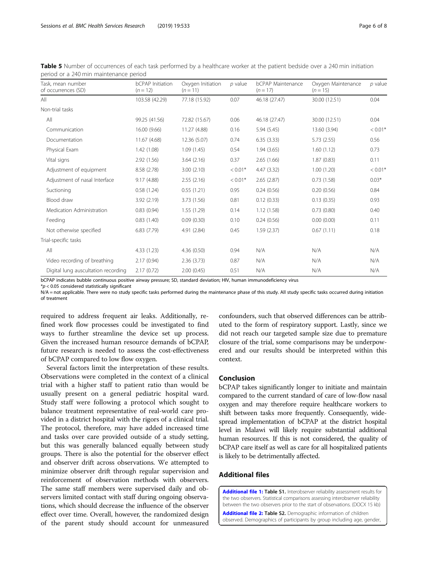<span id="page-5-0"></span>

| Table 5 Number of occurrences of each task performed by a healthcare worker at the patient bedside over a 240 min initiation |  |  |
|------------------------------------------------------------------------------------------------------------------------------|--|--|
| period or a 240 min maintenance period                                                                                       |  |  |

| Task, mean number<br>of occurrences (SD) | <b>bCPAP</b> Initiation<br>$(n = 12)$ | Oxygen Initiation<br>$(n = 11)$ | $p$ value | <b>bCPAP Maintenance</b><br>$(n = 17)$ | Oxygen Maintenance<br>$(n = 15)$ | $p$ value |  |
|------------------------------------------|---------------------------------------|---------------------------------|-----------|----------------------------------------|----------------------------------|-----------|--|
| All                                      | 103.58 (42.29)                        | 77.18 (15.92)                   | 0.07      | 46.18 (27.47)                          | 30.00 (12.51)                    | 0.04      |  |
| Non-trial tasks                          |                                       |                                 |           |                                        |                                  |           |  |
| All                                      | 99.25 (41.56)                         | 72.82 (15.67)                   | 0.06      | 46.18 (27.47)                          | 30.00 (12.51)                    | 0.04      |  |
| Communication                            | 16.00 (9.66)                          | 11.27 (4.88)                    | 0.16      | 5.94(5.45)                             | 13.60 (3.94)                     | $< 0.01*$ |  |
| Documentation                            | 11.67 (4.68)                          | 12.36 (5.07)                    | 0.74      | 6.35(3.33)                             | 5.73(2.55)                       | 0.56      |  |
| Physical Exam                            | 1.42(1.08)                            | 1.09(1.45)                      | 0.54      | 1.94(3.65)                             | 1.60(1.12)                       | 0.73      |  |
| Vital signs                              | 2.92(1.56)                            | 3.64(2.16)                      | 0.37      | 2.65(1.66)                             | 1.87(0.83)                       | 0.11      |  |
| Adjustment of equipment                  | 8.58 (2.78)                           | 3.00(2.10)                      | $< 0.01*$ | 4.47(3.32)                             | 1.00(1.20)                       | $< 0.01*$ |  |
| Adjustment of nasal Interface            | 9.17(4.88)                            | 2.55(2.16)                      | $< 0.01*$ | 2.65(2.87)                             | 0.73(1.58)                       | $0.03*$   |  |
| Suctioning                               | 0.58(1.24)                            | 0.55(1.21)                      | 0.95      | 0.24(0.56)                             | 0.20(0.56)                       | 0.84      |  |
| Blood draw                               | 3.92 (2.19)                           | 3.73(1.56)                      | 0.81      | 0.12(0.33)                             | 0.13(0.35)                       | 0.93      |  |
| Medication Administration                | 0.83(0.94)                            | 1.55(1.29)                      | 0.14      | 1.12(1.58)                             | 0.73(0.80)                       | 0.40      |  |
| Feeding                                  | 0.83(1.40)                            | 0.09(0.30)                      | 0.10      | 0.24(0.56)                             | 0.00(0.00)                       | 0.11      |  |
| Not otherwise specified                  | 6.83(7.79)                            | 4.91 (2.84)                     | 0.45      | 1.59(2.37)                             | 0.67(1.11)                       | 0.18      |  |
| Trial-specific tasks                     |                                       |                                 |           |                                        |                                  |           |  |
| All                                      | 4.33(1.23)                            | 4.36(0.50)                      | 0.94      | N/A                                    | N/A                              | N/A       |  |
| Video recording of breathing             | 2.17(0.94)                            | 2.36(3.73)                      | 0.87      | N/A                                    | N/A                              | N/A       |  |
| Digital lung auscultation recording      | 2.17(0.72)                            | 2.00(0.45)                      | 0.51      | N/A                                    | N/A                              | N/A       |  |

bCPAP indicates bubble continuous positive airway pressure; SD, standard deviation; HIV, human immunodeficiency virus

 $*p$  < 0.05 considered statistically significant

N/A = not applicable. There were no study specific tasks performed during the maintenance phase of this study. All study specific tasks occurred during initiation of treatment

required to address frequent air leaks. Additionally, refined work flow processes could be investigated to find ways to further streamline the device set up process. Given the increased human resource demands of bCPAP, future research is needed to assess the cost-effectiveness of bCPAP compared to low flow oxygen.

Several factors limit the interpretation of these results. Observations were completed in the context of a clinical trial with a higher staff to patient ratio than would be usually present on a general pediatric hospital ward. Study staff were following a protocol which sought to balance treatment representative of real-world care provided in a district hospital with the rigors of a clinical trial. The protocol, therefore, may have added increased time and tasks over care provided outside of a study setting, but this was generally balanced equally between study groups. There is also the potential for the observer effect and observer drift across observations. We attempted to minimize observer drift through regular supervision and reinforcement of observation methods with observers. The same staff members were supervised daily and observers limited contact with staff during ongoing observations, which should decrease the influence of the observer effect over time. Overall, however, the randomized design of the parent study should account for unmeasured confounders, such that observed differences can be attributed to the form of respiratory support. Lastly, since we did not reach our targeted sample size due to premature closure of the trial, some comparisons may be underpowered and our results should be interpreted within this context.

# Conclusion

bCPAP takes significantly longer to initiate and maintain compared to the current standard of care of low-flow nasal oxygen and may therefore require healthcare workers to shift between tasks more frequently. Consequently, widespread implementation of bCPAP at the district hospital level in Malawi will likely require substantial additional human resources. If this is not considered, the quality of bCPAP care itself as well as care for all hospitalized patients is likely to be detrimentally affected.

# Additional files

[Additional file 1:](https://doi.org/10.1186/s12913-019-4364-y) Table S1. Interobserver reliability assessment results for the two observers. Statistical comparisons assessing interobserver reliability between the two observers prior to the start of observations. (DOCX 15 kb)

[Additional file 2:](https://doi.org/10.1186/s12913-019-4364-y) Table S2. Demographic information of children observed. Demographics of participants by group including age, gender,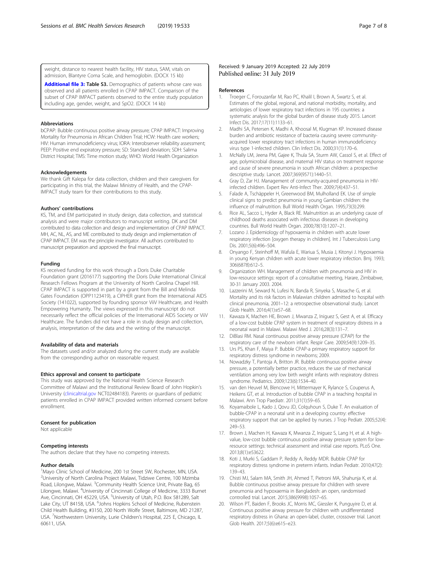<span id="page-6-0"></span>weight, distance to nearest health facility, HIV status, SAM, vitals on admission, Blantyre Coma Scale, and hemoglobin. (DOCX 15 kb)

[Additional file 3:](https://doi.org/10.1186/s12913-019-4364-y) Table S3. Demographics of patients whose care was observed and all patients enrolled in CPAP IMPACT. Comparison of the subset of CPAP IMPACT patients observed to the entire study population including age, gender, weight, and SpO2. (DOCX 14 kb)

### **Abbreviations**

bCPAP: Bubble continuous positive airway pressure; CPAP IMPACT: Improving Mortality for Pneumonia in African Children Trial; HCW: Health care workers; HIV: Human immunodeficiency virus; IORA: Interobserver reliability assessment; PEEP: Positive end expiratory pressure; SD: Standard deviation; SDH: Salima District Hospital; TMS: Time motion study; WHO: World Health Organization

# Acknowledgements

We thank Gift Kalepa for data collection, children and their caregivers for participating in this trial, the Malawi Ministry of Health, and the CPAP-IMPACT study team for their contributions to this study.

#### Authors' contributions

KS, TM, and EM participated in study design, data collection, and statistical analysis and were major contributors to manuscript writing. DK and DM contributed to data collection and design and implementation of CPAP IMPACT. MH, AC, NL, AS, and ME contributed to study design and implementation of CPAP IMPACT. EM was the principle investigator. All authors contributed to manuscript preparation and approved the final manuscript.

#### Funding

KS received funding for this work through a Doris Duke Charitable Foundation grant (2016177) supporting the Doris Duke International Clinical Research Fellows Program at the University of North Carolina Chapel Hill. CPAP IMPACT is supported in part by a grant from the Bill and Melinda Gates Foundation (OPP1123419), a CIPHER grant from the International AIDS Society (141022), supported by founding sponsor ViiV Healthcare, and Health Empowering Humanity. The views expressed in this manuscript do not necessarily reflect the official policies of the International AIDS Society or ViiV Healthcare. The funders did not have a role in study design and collection, analysis, interpretation of the data and the writing of the manuscript.

# Availability of data and materials

The datasets used and/or analyzed during the current study are available from the corresponding author on reasonable request.

#### Ethics approval and consent to participate

This study was approved by the National Health Science Research Committee of Malawi and the Institutional Review Board of John Hopkin's University [\(clinicaltrial.gov](http://clinicaltrial.gov) NCT02484183). Parents or guardians of pediatric patients enrolled in CPAP IMPACT provided written informed consent before enrollment.

# Consent for publication

Not applicable

#### Competing interests

The authors declare that they have no competing interests.

#### Author details

<sup>1</sup>Mayo Clinic School of Medicine, 200 1st Street SW, Rochester, MN, USA. <sup>2</sup>University of North Carolina Project Malawi, Tidziwe Centre, 100 Mzimba Road, Lilongwe, Malawi. <sup>3</sup>Community Health Science Unit, Private Bag, 65 Lilongwe, Malawi. <sup>4</sup> University of Cincinnati College of Medicine, 3333 Burnet Ave, Cincinnati, OH 45229, USA. <sup>5</sup>University of Utah, P.O. Box 581289, Salt Lake City, UT 84158, USA. <sup>6</sup>Johns Hopkins School of Medicine, Rubenstein Child Health Building, #3150, 200 North Wolfe Street, Baltimore, MD 21287, USA. <sup>7</sup>Northwestern University, Lurie Children's Hospital, 225 E, Chicago, IL 60611, USA.

# Received: 9 January 2019 Accepted: 22 July 2019 Published online: 31 July 2019

#### References

- 1. Troeger C, Forouzanfar M, Rao PC, Khalil I, Brown A, Swartz S, et al. Estimates of the global, regional, and national morbidity, mortality, and aetiologies of lower respiratory tract infections in 195 countries: a systematic analysis for the global burden of disease study 2015. Lancet Infect Dis. 2017;17(11):1133–61.
- 2. Madhi SA, Petersen K, Madhi A, Khoosal M, Klugman KP. Increased disease burden and antibiotic resistance of bacteria causing severe communityacquired lower respiratory tract infections in human immunodeficiency virus type 1-infected children. Clin Infect Dis. 2000;31(1):170–6.
- 3. McNally LM, Jeena PM, Gajee K, Thula SA, Sturm AW, Cassol S, et al. Effect of age, polymicrobial disease, and maternal HIV status on treatment response and cause of severe pneumonia in south African children: a prospective descriptive study. Lancet. 2007;369(9571):1440–51.
- 4. Gray D, Zar HJ. Management of community-acquired pneumonia in HIVinfected children. Expert Rev Anti-Infect Ther. 2009;7(4):437–51.
- 5. Falade A, Tschäppeler H, Greenwood BM, Mulholland EK. Use of simple clinical signs to predict pneumonia in young Gambian children: the influence of malnutrition. Bull World Health Organ. 1995;73(3):299.
- 6. Rice AL, Sacco L, Hyder A, Black RE. Malnutrition as an underlying cause of childhood deaths associated with infectious diseases in developing countries. Bull World Health Organ. 2000;78(10):1207–21.
- 7. Lozano J. Epidemiology of hypoxaemia in children with acute lower respiratory infection [oxygen therapy in children]. Int J Tuberculosis Lung Dis. 2001;5(6):496–504.
- 8. Onyango F, Steinhoff M, Wafula E, Wariua S, Musia J, Kitonyi J. Hypoxaemia in young Kenyan children with acute lower respiratory infection. Bmj. 1993; 306(6878):612–5.
- 9. Organization WH. Management of children with pneumonia and HIV in low-resource settings: report of a consultative meeting, Harare, Zimbabwe, 30-31 January 2003. 2004.
- 10. Lazzerini M, Seward N, Lufesi N, Banda R, Sinyeka S, Masache G, et al. Mortality and its risk factors in Malawian children admitted to hospital with clinical pneumonia, 2001–12: a retrospective observational study. Lancet Glob Health. 2016;4(1):e57–68.
- 11. Kawaza K, Machen HE, Brown J, Mwanza Z, Iniguez S, Gest A, et al. Efficacy of a low-cost bubble CPAP system in treatment of respiratory distress in a neonatal ward in Malawi. Malawi Med J. 2016;28(3):131–7.
- 12. DiBlasi RM. Nasal continuous positive airway pressure (CPAP) for the respiratory care of the newborn infant. Respir Care. 2009;54(9):1209–35.
- 13. Urs PS, Khan F, Maiya P. Bubble CPAP-a primary respiratory support for respiratory distress syndrome in newborns; 2009.
- 14. Nowadzky T, Pantoja A, Britton JR. Bubble continuous positive airway pressure, a potentially better practice, reduces the use of mechanical ventilation among very low birth weight infants with respiratory distress syndrome. Pediatrics. 2009;123(6):1534–40.
- 15. van den Heuvel M, Blencowe H, Mittermayer K, Rylance S, Couperus A, Heikens GT, et al. Introduction of bubble CPAP in a teaching hospital in Malawi. Ann Trop Paediatr. 2011;31(1):59–65.
- 16. Koyamaibole L, Kado J, Qovu JD, Colquhoun S, Duke T. An evaluation of bubble-CPAP in a neonatal unit in a developing country: effective respiratory support that can be applied by nurses. J Trop Pediatr. 2005;52(4): 249–53.
- 17. Brown J, Machen H, Kawaza K, Mwanza Z, Iniguez S, Lang H, et al. A highvalue, low-cost bubble continuous positive airway pressure system for lowresource settings: technical assessment and initial case reports. PLoS One. 2013;8(1):e53622.
- 18. Koti J, Murki S, Gaddam P, Reddy A, Reddy MDR. Bubble CPAP for respiratory distress syndrome in preterm infants. Indian Pediatr. 2010;47(2): 139–43.
- 19. Chisti MJ, Salam MA, Smith JH, Ahmed T, Pietroni MA, Shahunja K, et al. Bubble continuous positive airway pressure for children with severe pneumonia and hypoxaemia in Bangladesh: an open, randomised controlled trial. Lancet. 2015;386(9998):1057–65.
- 20. Wilson PT, Baiden F, Brooks JC, Morris MC, Giessler K, Punguyire D, et al. Continuous positive airway pressure for children with undifferentiated respiratory distress in Ghana: an open-label, cluster, crossover trial. Lancet Glob Health. 2017;5(6):e615–e23.